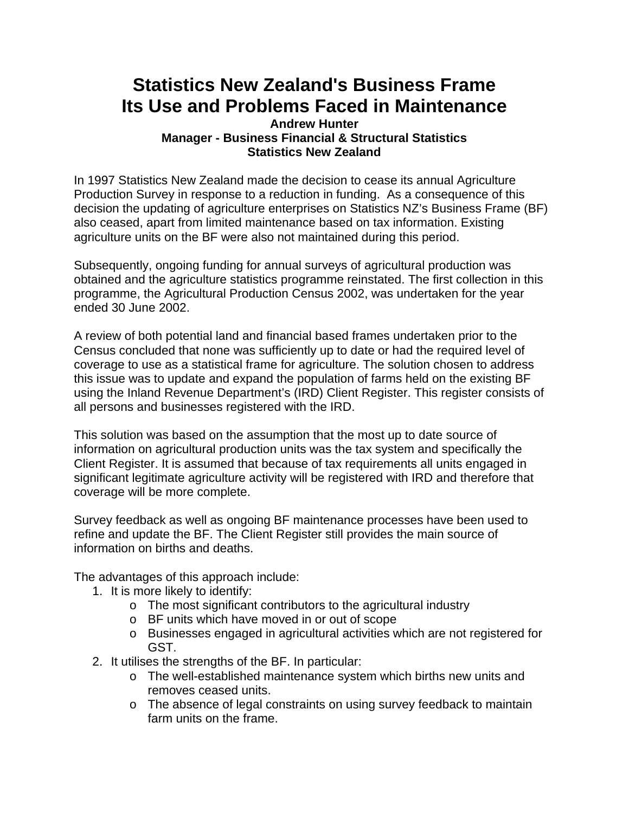## **Statistics New Zealand's Business Frame Its Use and Problems Faced in Maintenance**

## **Andrew Hunter Manager - Business Financial & Structural Statistics Statistics New Zealand**

In 1997 Statistics New Zealand made the decision to cease its annual Agriculture Production Survey in response to a reduction in funding. As a consequence of this decision the updating of agriculture enterprises on Statistics NZ's Business Frame (BF) also ceased, apart from limited maintenance based on tax information. Existing agriculture units on the BF were also not maintained during this period.

Subsequently, ongoing funding for annual surveys of agricultural production was obtained and the agriculture statistics programme reinstated. The first collection in this programme, the Agricultural Production Census 2002, was undertaken for the year ended 30 June 2002.

A review of both potential land and financial based frames undertaken prior to the Census concluded that none was sufficiently up to date or had the required level of coverage to use as a statistical frame for agriculture. The solution chosen to address this issue was to update and expand the population of farms held on the existing BF using the Inland Revenue Department's (IRD) Client Register. This register consists of all persons and businesses registered with the IRD.

This solution was based on the assumption that the most up to date source of information on agricultural production units was the tax system and specifically the Client Register. It is assumed that because of tax requirements all units engaged in significant legitimate agriculture activity will be registered with IRD and therefore that coverage will be more complete.

Survey feedback as well as ongoing BF maintenance processes have been used to refine and update the BF. The Client Register still provides the main source of information on births and deaths.

The advantages of this approach include:

- 1. It is more likely to identify:
	- o The most significant contributors to the agricultural industry
	- o BF units which have moved in or out of scope
	- o Businesses engaged in agricultural activities which are not registered for GST.
- 2. It utilises the strengths of the BF. In particular:
	- o The well-established maintenance system which births new units and removes ceased units.
	- o The absence of legal constraints on using survey feedback to maintain farm units on the frame.